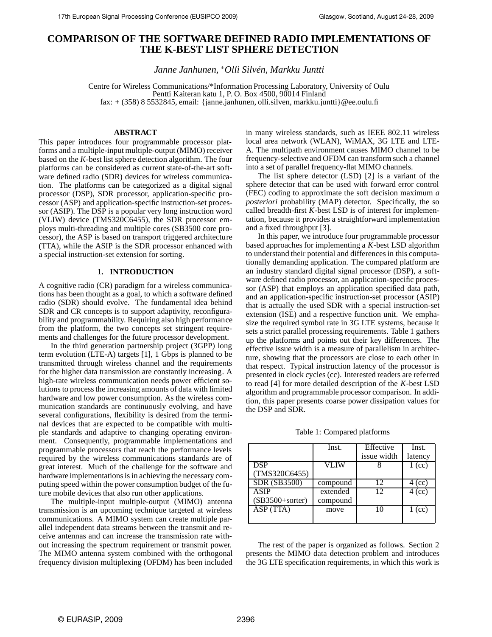# **COMPARISON OF THE SOFTWARE DEFINED RADIO IMPLEMENTATIONS OF THE K-BEST LIST SPHERE DETECTION**

*Janne Janhunen,* <sup>∗</sup>*Olli Silvén, Markku Juntti*

Centre for Wireless Communications/\*Information Processing Laboratory, University of Oulu Pentti Kaiteran katu 1, P.O. Box 4500, 90014 Finland fax: + (358) 8 5532845, email: {janne.janhunen, olli.silven, markku.juntti}@ee.oulu.fi

### **ABSTRACT**

This paper introduces four programmable processor platforms and a multiple-input multiple-output (MIMO) receiver based on the *K*-best list sphere detection algorithm. The four platforms can be considered as current state-of-the-art software defined radio (SDR) devices for wireless communication. The platforms can be categorized as a digital signal processor (DSP), SDR processor, application-specific processor (ASP) and application-specific instruction-set processor (ASIP). The DSP is a popular very long instruction word (VLIW) device (TMS320C6455), the SDR processor employs multi-threading and multiple cores (SB3500 core processor), the ASP is based on transport triggered architecture (TTA), while the ASIP is the SDR processor enhanced with a special instruction-set extension for sorting.

### **1. INTRODUCTION**

A cognitive radio (CR) paradigm for a wireless communications has been thought as a goal, to which a software defined radio (SDR) should evolve. The fundamental idea behind SDR and CR concepts is to support adaptivity, reconfigurability and programmability. Requiring also high performance from the platform, the two concepts set stringent requirements and challenges for the future processor development.

In the third generation partnership project (3GPP) long term evolution (LTE-A) targets [1], 1 Gbps is planned to be transmitted through wireless channel and the requirements for the higher data transmission are constantly increasing. A high-rate wireless communication needs power efficient solutions to process the increasing amounts of data with limited hardware and low power consumption. As the wireless communication standards are continuously evolving, and have several configurations, flexibility is desired from the terminal devices that are expected to be compatible with multiple standards and adaptive to changing operating environment. Consequently, programmable implementations and programmable processors that reach the performance levels required by the wireless communications standards are of great interest. Much of the challenge for the software and hardware implementations is in achieving the necessary computing speed within the power consumption budget of the future mobile devices that also run other applications.

The multiple-input multiple-output (MIMO) antenna transmission is an upcoming technique targeted at wireless communications. A MIMO system can create multiple parallel independent data streams between the transmit and receive antennas and can increase the transmission rate without increasing the spectrum requirement or transmit power. The MIMO antenna system combined with the orthogonal frequency division multiplexing (OFDM) has been included

in many wireless standards, such as IEEE 802.11 wireless local area network (WLAN), WiMAX, 3G LTE and LTE-A. The multipath environment causes MIMO channel to be frequency-selective and OFDM can transform such a channel into a set of parallel frequency-flat MIMO channels.

The list sphere detector (LSD) [2] is a variant of the sphere detector that can be used with forward error control (FEC) coding to approximate the soft decision maximum *a posteriori* probability (MAP) detector. Specifically, the so called breadth-first *K*-best LSD is of interest for implementation, because it provides a straightforward implementation and a fixed throughput [3].

In this paper, we introduce four programmable processor based approaches for implementing a *K*-best LSD algorithm to understand their potential and differences in this computationally demanding application. The compared platform are an industry standard digital signal processor (DSP), a software defined radio processor, an application-specific processor (ASP) that employs an application specified data path, and an application-specific instruction-set processor (ASIP) that is actually the used SDR with a special instruction-set extension (ISE) and a respective function unit. We emphasize the required symbol rate in 3G LTE systems, because it sets a strict parallel processing requirements. Table 1 gathers up the platforms and points out their key differences. The effective issue width is a measure of parallelism in architecture, showing that the processors are close to each other in that respect. Typical instruction latency of the processor is presented in clock cycles (cc). Interested readers are referred to read [4] for more detailed description of the *K*-best LSD algorithm and programmable processor comparison. In addition, this paper presents coarse power dissipation values for the DSP and SDR.

Table 1: Compared platforms

|                     | Inst.    | Effective   | Inst.    |
|---------------------|----------|-------------|----------|
|                     |          | issue width | latency  |
| DSP                 | VLIW     |             | $1$ (cc) |
| (TMS320C6455)       |          |             |          |
| <b>SDR (SB3500)</b> | compound | 12          | 4 (cc)   |
| <b>ASIP</b>         | extended | 12          | $4$ (cc) |
| $(SB3500+sorter)$   | compound |             |          |
| ASP (TTA)           | move     | 10          | $1$ (cc) |
|                     |          |             |          |

The rest of the paper is organized as follows. Section 2 presents the MIMO data detection problem and introduces the 3G LTE specification requirements, in which this work is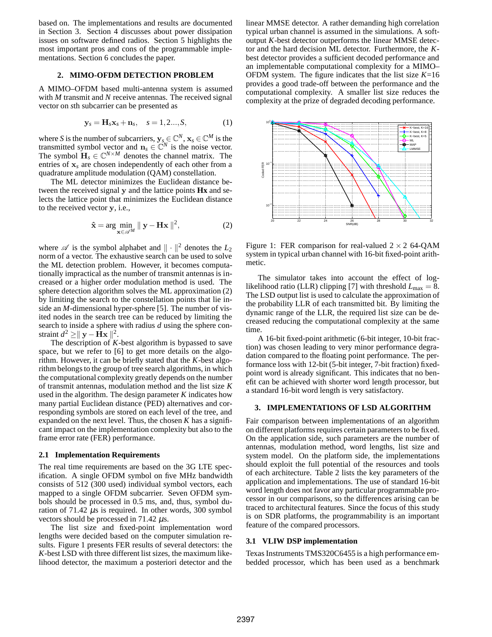based on. The implementations and results are documented in Section 3. Section 4 discusses about power dissipation issues on software defined radios. Section 5 highlights the most important pros and cons of the programmable implementations. Section 6 concludes the paper.

# **2. MIMO-OFDM DETECTION PROBLEM**

A MIMO–OFDM based multi-antenna system is assumed with *M* transmit and *N* receive antennas. The received signal vector on *s*th subcarrier can be presented as

$$
\mathbf{y}_s = \mathbf{H}_s \mathbf{x}_s + \mathbf{n}_s, \quad s = 1, 2..., S,
$$
 (1)

where *S* is the number of subcarriers,  $y_s \in \mathbb{C}^N$ ,  $\mathbf{x}_s \in \mathbb{C}^M$  is the transmitted symbol vector and  $\mathbf{n}_s \in \mathbb{C}^N$  is the noise vector. The symbol  $\mathbf{H}_s \in \mathbb{C}^{N \times M}$  denotes the channel matrix. The entries of x*<sup>s</sup>* are chosen independently of each other from a quadrature amplitude modulation (QAM) constellation.

The ML detector minimizes the Euclidean distance between the received signal y and the lattice points **Hx** and selects the lattice point that minimizes the Euclidean distance to the received vector y, i.e.,

$$
\hat{\mathbf{x}} = \arg\min_{\mathbf{x} \in \mathscr{A}^M} \| \mathbf{y} - \mathbf{H}\mathbf{x} \|^2, \tag{2}
$$

where  $\mathscr A$  is the symbol alphabet and  $\|\cdot\|^2$  denotes the  $L_2$ norm of a vector. The exhaustive search can be used to solve the ML detection problem. However, it becomes computationally impractical as the number of transmit antennas is increased or a higher order modulation method is used. The sphere detection algorithm solves the ML approximation (2) by limiting the search to the constellation points that lie inside an *M*-dimensional hyper-sphere [5]. The number of visited nodes in the search tree can be reduced by limiting the search to inside a sphere with radius *d* using the sphere constraint  $d^2 \ge ||\mathbf{y} - \mathbf{Hx}||^2$ .

The description of *K*-best algorithm is bypassed to save space, but we refer to [6] to get more details on the algorithm. However, it can be briefly stated that the *K*-best algorithm belongs to the group of tree search algorithms, in which the computational complexity greatly depends on the number of transmit antennas, modulation method and the list size *K* used in the algorithm. The design parameter *K* indicates how many partial Euclidean distance (PED) alternatives and corresponding symbols are stored on each level of the tree, and expanded on the next level. Thus, the chosen  $K$  has a significant impact on the implementation complexity but also to the frame error rate (FER) performance.

### **2.1 Implementation Requirements**

The real time requirements are based on the 3G LTE specification. A single OFDM symbol on five MHz bandwidth consists of 512 (300 used) individual symbol vectors, each mapped to a single OFDM subcarrier. Seven OFDM symbols should be processed in 0.5 ms, and, thus, symbol duration of  $71.42 \mu s$  is required. In other words, 300 symbol vectors should be processed in 71.42  $\mu$ s.

The list size and fixed-point implementation word lengths were decided based on the computer simulation results. Figure 1 presents FER results of several detectors: the *K*-best LSD with three different list sizes, the maximum likelihood detector, the maximum a posteriori detector and the linear MMSE detector. A rather demanding high correlation typical urban channel is assumed in the simulations. A softoutput *K*-best detector outperforms the linear MMSE detector and the hard decision ML detector. Furthermore, the *K*best detector provides a sufficient decoded performance and an implementable computational complexity for a MIMO– OFDM system. The figure indicates that the list size  $K=16$ provides a good trade-off between the performance and the computational complexity. A smaller list size reduces the complexity at the prize of degraded decoding performance.



Figure 1: FER comparison for real-valued  $2 \times 2$  64-QAM system in typical urban channel with 16-bit fixed-point arithmetic.

The simulator takes into account the effect of loglikelihood ratio (LLR) clipping [7] with threshold  $L_{\text{max}} = 8$ . The LSD output list is used to calculate the approximation of the probability LLR of each transmitted bit. By limiting the dynamic range of the LLR, the required list size can be decreased reducing the computational complexity at the same time.

A 16-bit fixed-point arithmetic (6-bit integer, 10-bit fraction) was chosen leading to very minor performance degradation compared to the floating point performance. The performance loss with 12-bit (5-bit integer, 7-bit fraction) fixedpoint word is already significant. This indicates that no benefit can be achieved with shorter word length processor, but a standard 16-bit word length is very satisfactory.

### **3. IMPLEMENTATIONS OF LSD ALGORITHM**

Fair comparison between implementations of an algorithm on different platforms requires certain parameters to be fixed. On the application side, such parameters are the number of antennas, modulation method, word lengths, list size and system model. On the platform side, the implementations should exploit the full potential of the resources and tools of each architecture. Table 2 lists the key parameters of the application and implementations. The use of standard 16-bit word length does not favor any particular programmable processor in our comparisons, so the differences arising can be traced to architectural features. Since the focus of this study is on SDR platforms, the programmability is an important feature of the compared processors.

### **3.1 VLIW DSP implementation**

Texas Instruments TMS320C6455 is a high performance embedded processor, which has been used as a benchmark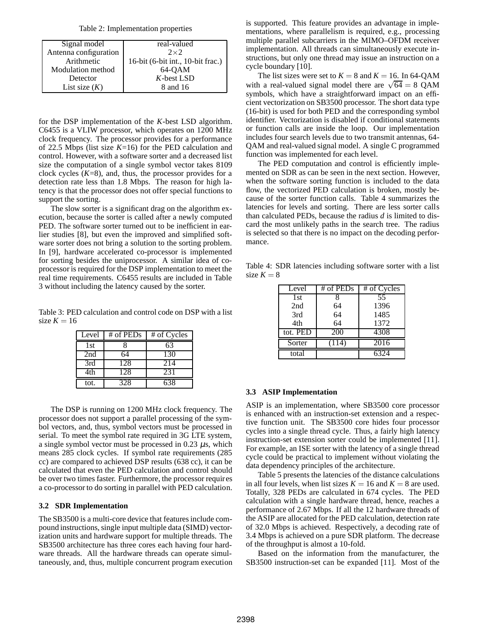|  | Table 2: Implementation properties |  |
|--|------------------------------------|--|
|--|------------------------------------|--|

| Signal model          | real-valued                       |
|-----------------------|-----------------------------------|
| Antenna configuration | $2 \times 2$                      |
| Arithmetic            | 16-bit (6-bit int., 10-bit frac.) |
| Modulation method     | 64-OAM                            |
| Detector              | $K$ -best LSD                     |
| List size $(K)$       | 8 and 16                          |

for the DSP implementation of the *K*-best LSD algorithm. C6455 is a VLIW processor, which operates on 1200 MHz clock frequency. The processor provides for a performance of 22.5 Mbps (list size *K*=16) for the PED calculation and control. However, with a software sorter and a decreased list size the computation of a single symbol vector takes 8109 clock cycles  $(K=8)$ , and, thus, the processor provides for a detection rate less than 1.8 Mbps. The reason for high latency is that the processor does not offer special functions to support the sorting.

The slow sorter is a significant drag on the algorithm execution, because the sorter is called after a newly computed PED. The software sorter turned out to be inefficient in earlier studies [8], but even the improved and simplified software sorter does not bring a solution to the sorting problem. In [9], hardware accelerated co-processor is implemented for sorting besides the uniprocessor. A similar idea of coprocessor is required for the DSP implementation to meet the real time requirements. C6455 results are included in Table 3 without including the latency caused by the sorter.

Table 3: PED calculation and control code on DSP with a list size  $K = 16$ 

| Level | # of $PEDs$ | # of Cycles |
|-------|-------------|-------------|
| 1st   |             | 63          |
| 2nd   | 64          | 130         |
| 3rd   | 128         | 214         |
| 4th   | 128         | 231         |
| tot.  | 328         | 638         |

The DSP is running on 1200 MHz clock frequency. The processor does not support a parallel processing of the symbol vectors, and, thus, symbol vectors must be processed in serial. To meet the symbol rate required in 3G LTE system, a single symbol vector must be processed in 0.23  $\mu$ s, which means 285 clock cycles. If symbol rate requirements (285 cc) are compared to achieved DSP results (638 cc), it can be calculated that even the PED calculation and control should be over two times faster. Furthermore, the processor requires a co-processor to do sorting in parallel with PED calculation.

## **3.2 SDR Implementation**

The SB3500 is a multi-core device that features include compound instructions, single input multiple data (SIMD) vectorization units and hardware support for multiple threads. The SB3500 architecture has three cores each having four hardware threads. All the hardware threads can operate simultaneously, and, thus, multiple concurrent program execution is supported. This feature provides an advantage in implementations, where parallelism is required, e.g., processing multiple parallel subcarriers in the MIMO–OFDM receiver implementation. All threads can simultaneously execute instructions, but only one thread may issue an instruction on a cycle boundary [10].

The list sizes were set to  $K = 8$  and  $K = 16$ . In 64-QAM with a real-valued signal model there are  $\sqrt{64} = 8$  QAM symbols, which have a straightforward impact on an efficient vectorization on SB3500 processor. The short data type (16-bit) is used for both PED and the corresponding symbol identifier. Vectorization is disabled if conditional statements or function calls are inside the loop. Our implementation includes four search levels due to two transmit antennas, 64- QAM and real-valued signal model. A single C programmed function was implemented for each level.

The PED computation and control is efficiently implemented on SDR as can be seen in the next section. However, when the software sorting function is included to the data flow, the vectorized PED calculation is broken, mostly because of the sorter function calls. Table 4 summarizes the latencies for levels and sorting. There are less sorter calls than calculated PEDs, because the radius *d* is limited to discard the most unlikely paths in the search tree. The radius is selected so that there is no impact on the decoding performance.

Table 4: SDR latencies including software sorter with a list size  $K = 8$ 

| Level    | # of PEDs | # of Cycles       |
|----------|-----------|-------------------|
| 1st      |           | 55                |
| 2nd      | 64        | 1396              |
| 3rd      | 64        | 1485              |
| 4th      | 64        | 1372              |
| tot. PED | 200       | 4308              |
| Sorter   | (114)     | $\overline{20}16$ |
| total    |           | 6324              |

#### **3.3 ASIP Implementation**

ASIP is an implementation, where SB3500 core processor is enhanced with an instruction-set extension and a respective function unit. The SB3500 core hides four processor cycles into a single thread cycle. Thus, a fairly high latency instruction-set extension sorter could be implemented [11]. For example, an ISE sorter with the latency of a single thread cycle could be practical to implement without violating the data dependency principles of the architecture.

Table 5 presents the latencies of the distance calculations in all four levels, when list sizes  $K = 16$  and  $K = 8$  are used. Totally, 328 PEDs are calculated in 674 cycles. The PED calculation with a single hardware thread, hence, reaches a performance of 2.67 Mbps. If all the 12 hardware threads of the ASIP are allocated for the PED calculation, detection rate of 32.0 Mbps is achieved. Respectively, a decoding rate of 3.4 Mbps is achieved on a pure SDR platform. The decrease of the throughput is almost a 10-fold.

Based on the information from the manufacturer, the SB3500 instruction-set can be expanded [11]. Most of the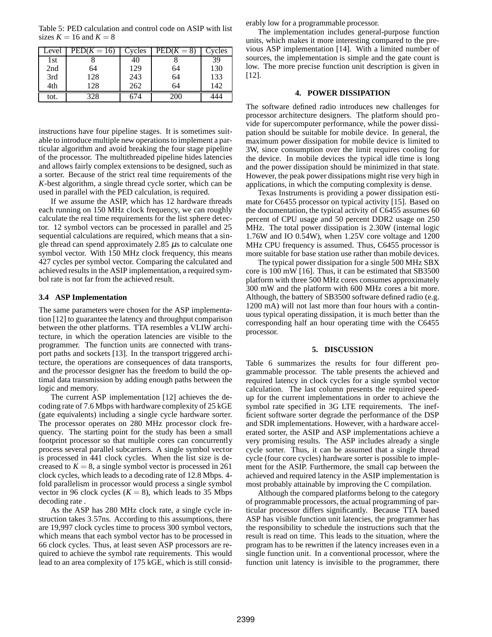Table 5: PED calculation and control code on ASIP with list sizes  $K = 16$  and  $K = 8$ 

| Level | $\text{PED}(K=16)$ | Cycles | $\text{PED}(K=8)$ | Cycles |
|-------|--------------------|--------|-------------------|--------|
| 1st   |                    | 40     |                   | 39     |
| 2nd   | 64                 | 129    | 64                | 130    |
| 3rd   | 128                | 243    | 64                | 133    |
| 4th   | 128                | 262    | 64                | 142    |
| tot.  |                    |        |                   |        |

instructions have four pipeline stages. It is sometimes suitable to introduce multiple new operations to implement a particular algorithm and avoid breaking the four stage pipeline of the processor. The multithreaded pipeline hides latencies and allows fairly complex extensions to be designed, such as a sorter. Because of the strict real time requirements of the *K*-best algorithm, a single thread cycle sorter, which can be used in parallel with the PED calculation, is required.

If we assume the ASIP, which has 12 hardware threads each running on 150 MHz clock frequency, we can roughly calculate the real time requirements for the list sphere detector. 12 symbol vectors can be processed in parallel and 25 sequential calculations are required, which means that a single thread can spend approximately 2.85  $\mu$ s to calculate one symbol vector. With 150 MHz clock frequency, this means 427 cycles per symbol vector. Comparing the calculated and achieved results in the ASIP implementation, a required symbol rate is not far from the achieved result.

### **3.4 ASP Implementation**

The same parameters were chosen for the ASP implementation [12] to guarantee the latency and throughput comparison between the other platforms. TTA resembles a VLIW architecture, in which the operation latencies are visible to the programmer. The function units are connected with transport paths and sockets [13]. In the transport triggered architecture, the operations are consequences of data transports, and the processor designer has the freedom to build the optimal data transmission by adding enough paths between the logic and memory.

The current ASP implementation [12] achieves the decoding rate of 7.6 Mbps with hardware complexity of 25 kGE (gate equivalents) including a single cycle hardware sorter. The processor operates on 280 MHz processor clock frequency. The starting point for the study has been a small footprint processor so that multiple cores can concurrently process several parallel subcarriers. A single symbol vector is processed in 441 clock cycles. When the list size is decreased to  $K = 8$ , a single symbol vector is processed in 261 clock cycles, which leads to a decoding rate of 12.8 Mbps. 4 fold parallelism in processor would process a single symbol vector in 96 clock cycles  $(K = 8)$ , which leads to 35 Mbps decoding rate .

As the ASP has 280 MHz clock rate, a single cycle instruction takes 3.57ns. According to this assumptions, there are 19,997 clock cycles time to process 300 symbol vectors, which means that each symbol vector has to be processed in 66 clock cycles. Thus, at least seven ASP processors are required to achieve the symbol rate requirements. This would lead to an area complexity of 175 kGE, which is still considerably low for a programmable processor.

The implementation includes general-purpose function units, which makes it more interesting compared to the previous ASP implementation [14]. With a limited number of sources, the implementation is simple and the gate count is low. The more precise function unit description is given in [12].

### **4. POWER DISSIPATION**

The software defined radio introduces new challenges for processor architecture designers. The platform should provide for supercomputer performance, while the power dissipation should be suitable for mobile device. In general, the maximum power dissipation for mobile device is limited to 3W, since consumption over the limit requires cooling for the device. In mobile devices the typical idle time is long and the power dissipation should be minimized in that state. However, the peak power dissipations might rise very high in applications, in which the computing complexity is dense.

Texas Instruments is providing a power dissipation estimate for C6455 processor on typical activity [15]. Based on the documentation, the typical activity of C6455 assumes 60 percent of CPU usage and 50 percent DDR2 usage on 250 MHz. The total power dissipation is 2.30W (internal logic 1.76W and IO 0.54W), when 1.25V core voltage and 1200 MHz CPU frequency is assumed. Thus, C6455 processor is more suitable for base station use rather than mobile devices.

The typical power dissipation for a single 500 MHz SBX core is 100 mW [16]. Thus, it can be estimated that SB3500 platform with three 500 MHz cores consumes approximately 300 mW and the platform with 600 MHz cores a bit more. Although, the battery of SB3500 software defined radio (e.g. 1200 mA) will not last more than four hours with a continuous typical operating dissipation, it is much better than the corresponding half an hour operating time with the C6455 processor.

### **5. DISCUSSION**

Table 6 summarizes the results for four different programmable processor. The table presents the achieved and required latency in clock cycles for a single symbol vector calculation. The last column presents the required speedup for the current implementations in order to achieve the symbol rate specified in 3G LTE requirements. The inefficient software sorter degrade the performance of the DSP and SDR implementations. However, with a hardware accelerated sorter, the ASIP and ASP implementations achieve a very promising results. The ASP includes already a single cycle sorter. Thus, it can be assumed that a single thread cycle (four core cycles) hardware sorter is possible to implement for the ASIP. Furthermore, the small cap between the achieved and required latency in the ASIP implementation is most probably attainable by improving the C compilation.

Although the compared platforms belong to the category of programmable processors, the actual programming of particular processor differs significantly. Because TTA based ASP has visible function unit latencies, the programmer has the responsibility to schedule the instructions such that the result is read on time. This leads to the situation, where the program has to be rewritten if the latency increases even in a single function unit. In a conventional processor, where the function unit latency is invisible to the programmer, there